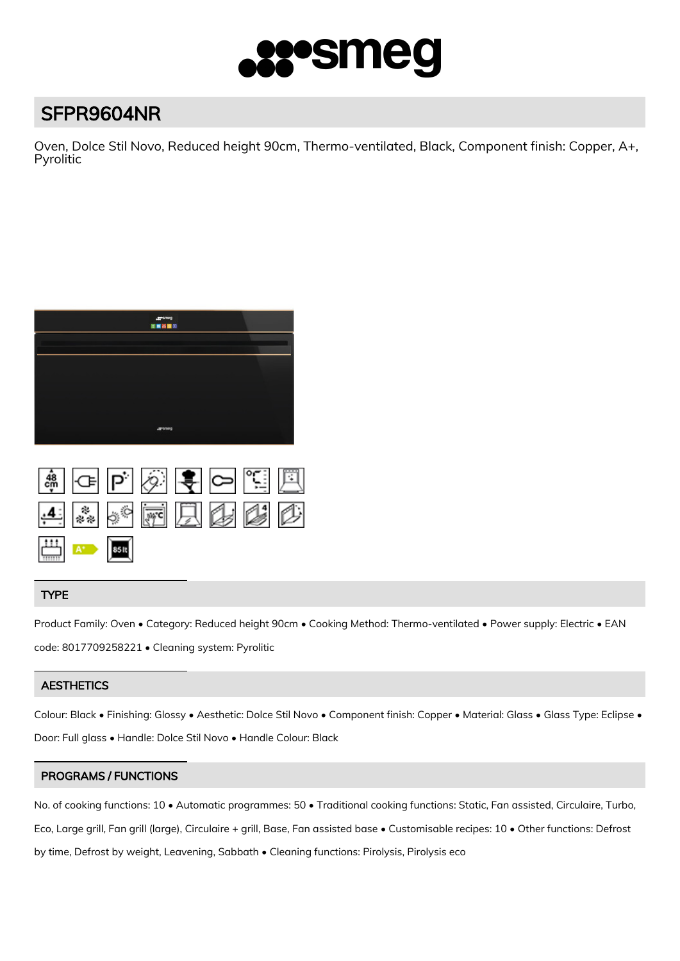

# SFPR9604NR

Oven, Dolce Stil Novo, Reduced height 90cm, Thermo-ventilated, Black, Component finish: Copper, A+, Pyrolitic



|                                                                         |  | $\left  \begin{smallmatrix} 1 & * & * & * \ * & * & * & * \end{smallmatrix} \right \equiv \left  \begin{smallmatrix} 1 & * & * & * \ * & * & * & * \end{smallmatrix} \right $ |  |
|-------------------------------------------------------------------------|--|-------------------------------------------------------------------------------------------------------------------------------------------------------------------------------|--|
| $A^*$ as $\left  \begin{array}{ccc} a & b \\ b & d \end{array} \right $ |  |                                                                                                                                                                               |  |

## TYPE

Product Family: Oven • Category: Reduced height 90cm • Cooking Method: Thermo-ventilated • Power supply: Electric • EAN code: 8017709258221 • Cleaning system: Pyrolitic

## **AESTHETICS**

Colour: Black • Finishing: Glossy • Aesthetic: Dolce Stil Novo • Component finish: Copper • Material: Glass • Glass Type: Eclipse • Door: Full glass • Handle: Dolce Stil Novo • Handle Colour: Black

### PROGRAMS / FUNCTIONS

No. of cooking functions: 10 • Automatic programmes: 50 • Traditional cooking functions: Static, Fan assisted, Circulaire, Turbo, Eco, Large grill, Fan grill (large), Circulaire + grill, Base, Fan assisted base • Customisable recipes: 10 • Other functions: Defrost by time, Defrost by weight, Leavening, Sabbath • Cleaning functions: Pirolysis, Pirolysis eco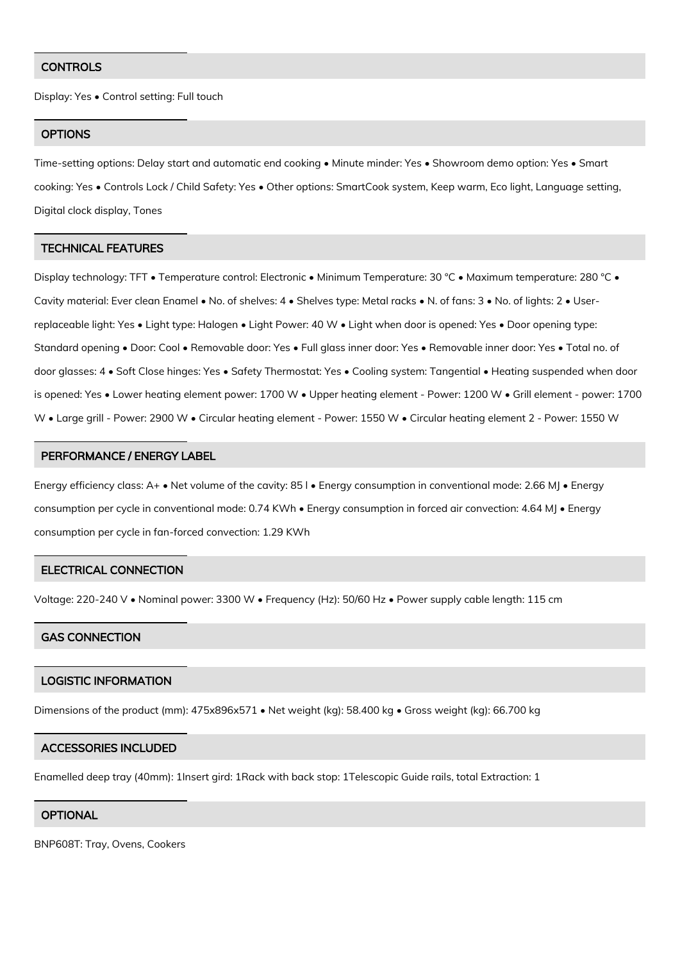#### **CONTROLS**

Display: Yes • Control setting: Full touch

#### **OPTIONS**

Time-setting options: Delay start and automatic end cooking • Minute minder: Yes • Showroom demo option: Yes • Smart cooking: Yes • Controls Lock / Child Safety: Yes • Other options: SmartCook system, Keep warm, Eco light, Language setting, Digital clock display, Tones

#### TECHNICAL FEATURES

Display technology: TFT • Temperature control: Electronic • Minimum Temperature: 30 °C • Maximum temperature: 280 °C • Cavity material: Ever clean Enamel • No. of shelves: 4 • Shelves type: Metal racks • N. of fans: 3 • No. of lights: 2 • Userreplaceable light: Yes • Light type: Halogen • Light Power: 40 W • Light when door is opened: Yes • Door opening type: Standard opening • Door: Cool • Removable door: Yes • Full glass inner door: Yes • Removable inner door: Yes • Total no. of door glasses: 4 • Soft Close hinges: Yes • Safety Thermostat: Yes • Cooling system: Tangential • Heating suspended when door is opened: Yes • Lower heating element power: 1700 W • Upper heating element - Power: 1200 W • Grill element - power: 1700 W • Large grill - Power: 2900 W • Circular heating element - Power: 1550 W • Circular heating element 2 - Power: 1550 W

#### PERFORMANCE / ENERGY LABEL

Energy efficiency class: A+ • Net volume of the cavity: 85 l • Energy consumption in conventional mode: 2.66 MJ • Energy consumption per cycle in conventional mode: 0.74 KWh • Energy consumption in forced air convection: 4.64 MJ • Energy consumption per cycle in fan-forced convection: 1.29 KWh

#### ELECTRICAL CONNECTION

Voltage: 220-240 V • Nominal power: 3300 W • Frequency (Hz): 50/60 Hz • Power supply cable length: 115 cm

#### GAS CONNECTION

#### LOGISTIC INFORMATION

Dimensions of the product (mm): 475x896x571 • Net weight (kg): 58.400 kg • Gross weight (kg): 66.700 kg

#### ACCESSORIES INCLUDED

Enamelled deep tray (40mm): 1Insert gird: 1Rack with back stop: 1Telescopic Guide rails, total Extraction: 1

#### **OPTIONAL**

BNP608T: Tray, Ovens, Cookers